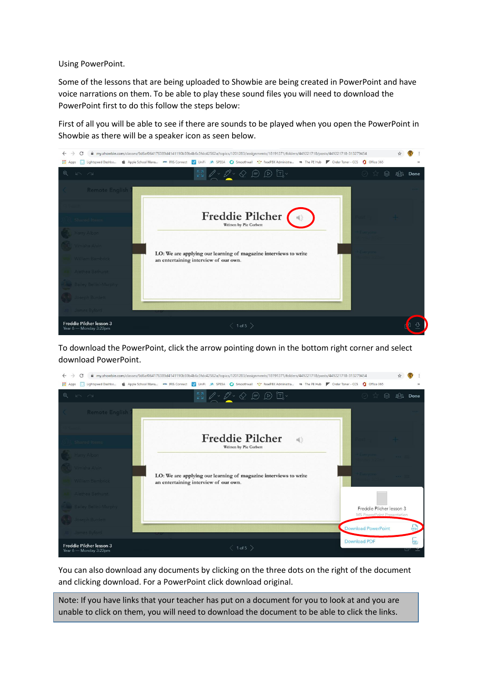Using PowerPoint.

Some of the lessons that are being uploaded to Showbie are being created in PowerPoint and have voice narrations on them. To be able to play these sound files you will need to download the PowerPoint first to do this follow the steps below:

First of all you will be able to see if there are sounds to be played when you open the PowerPoint in Showbie as there will be a speaker icon as seen below.



To download the PowerPoint, click the arrow pointing down in the bottom right corner and select download PowerPoint.



You can also download any documents by clicking on the three dots on the right of the document and clicking download. For a PowerPoint click download original.

Note: If you have links that your teacher has put on a document for you to look at and you are unable to click on them, you will need to download the document to be able to click the links.